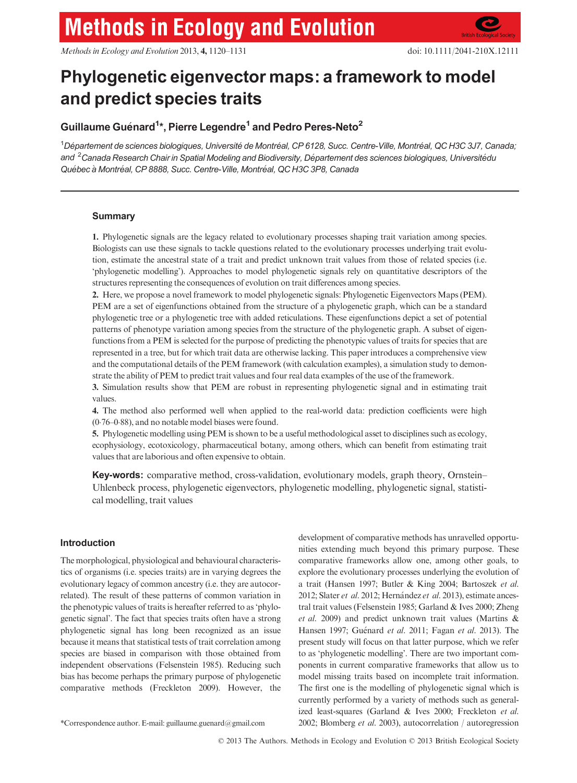# **Methods in Ecology and Evolution**

Methods in Ecology and Evolution 2013, 4, 1120-1131 doi: 10.1111/2041-210X.12111

## Phylogenetic eigenvector maps: a framework to model and predict species traits

## Guillaume Guénard<sup>1\*</sup>, Pierre Legendre<sup>1</sup> and Pedro Peres-Neto<sup>2</sup>

 $^{\rm 1}$ Département de sciences biologiques, Université de Montréal, CP 6128, Succ. Centre-Ville, Montréal, QC H3C 3J7, Canada, and <sup>2</sup>Canada Research Chair in Spatial Modeling and Biodiversity, Département des sciences biologiques, Universitédu Québec à Montréal, CP 8888, Succ. Centre-Ville, Montréal, QC H3C 3P8, Canada

## **Summary**

1. Phylogenetic signals are the legacy related to evolutionary processes shaping trait variation among species. Biologists can use these signals to tackle questions related to the evolutionary processes underlying trait evolution, estimate the ancestral state of a trait and predict unknown trait values from those of related species (i.e. 'phylogenetic modelling'). Approaches to model phylogenetic signals rely on quantitative descriptors of the structures representing the consequences of evolution on trait differences among species.

2. Here, we propose a novel framework to model phylogenetic signals: Phylogenetic Eigenvectors Maps (PEM). PEM are a set of eigenfunctions obtained from the structure of a phylogenetic graph, which can be a standard phylogenetic tree or a phylogenetic tree with added reticulations. These eigenfunctions depict a set of potential patterns of phenotype variation among species from the structure of the phylogenetic graph. A subset of eigenfunctions from a PEM is selected for the purpose of predicting the phenotypic values of traits for species that are represented in a tree, but for which trait data are otherwise lacking. This paper introduces a comprehensive view and the computational details of the PEM framework (with calculation examples), a simulation study to demonstrate the ability of PEM to predict trait values and four real data examples of the use of the framework.

3. Simulation results show that PEM are robust in representing phylogenetic signal and in estimating trait values.

4. The method also performed well when applied to the real-world data: prediction coefficients were high  $(0.76-0.88)$ , and no notable model biases were found.

5. Phylogenetic modelling using PEM is shown to be a useful methodological asset to disciplines such as ecology, ecophysiology, ecotoxicology, pharmaceutical botany, among others, which can benefit from estimating trait values that are laborious and often expensive to obtain.

Key-words: comparative method, cross-validation, evolutionary models, graph theory, Ornstein– Uhlenbeck process, phylogenetic eigenvectors, phylogenetic modelling, phylogenetic signal, statistical modelling, trait values

## Introduction

The morphological, physiological and behavioural characteristics of organisms (i.e. species traits) are in varying degrees the evolutionary legacy of common ancestry (i.e. they are autocorrelated). The result of these patterns of common variation in the phenotypic values of traits is hereafter referred to as 'phylogenetic signal'. The fact that species traits often have a strong phylogenetic signal has long been recognized as an issue because it means that statistical tests of trait correlation among species are biased in comparison with those obtained from independent observations (Felsenstein 1985). Reducing such bias has become perhaps the primary purpose of phylogenetic comparative methods (Freckleton 2009). However, the

development of comparative methods has unravelled opportunities extending much beyond this primary purpose. These comparative frameworks allow one, among other goals, to explore the evolutionary processes underlying the evolution of a trait (Hansen 1997; Butler & King 2004; Bartoszek et al. 2012; Slater et al. 2012; Hernández et al. 2013), estimate ancestral trait values (Felsenstein 1985; Garland & Ives 2000; Zheng et al. 2009) and predict unknown trait values (Martins & Hansen 1997; Guénard et al. 2011; Fagan et al. 2013). The present study will focus on that latter purpose, which we refer to as 'phylogenetic modelling'. There are two important components in current comparative frameworks that allow us to model missing traits based on incomplete trait information. The first one is the modelling of phylogenetic signal which is currently performed by a variety of methods such as generalized least-squares (Garland & Ives 2000; Freckleton et al. \*Correspondence author. E-mail: guillaume.guenard@gmail.com 2002; Blomberg et al. 2003), autocorrelation / autoregression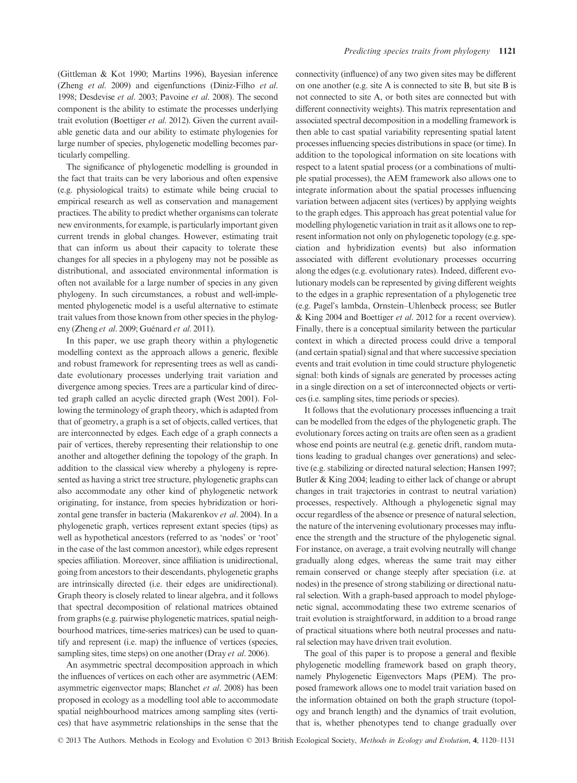(Gittleman & Kot 1990; Martins 1996), Bayesian inference (Zheng *et al.* 2009) and eigenfunctions (Diniz-Filho *et al.* 1998; Desdevise et al. 2003; Pavoine et al. 2008). The second component is the ability to estimate the processes underlying trait evolution (Boettiger et al. 2012). Given the current available genetic data and our ability to estimate phylogenies for large number of species, phylogenetic modelling becomes particularly compelling.

The significance of phylogenetic modelling is grounded in the fact that traits can be very laborious and often expensive (e.g. physiological traits) to estimate while being crucial to empirical research as well as conservation and management practices. The ability to predict whether organisms can tolerate new environments, for example, is particularly important given current trends in global changes. However, estimating trait that can inform us about their capacity to tolerate these changes for all species in a phylogeny may not be possible as distributional, and associated environmental information is often not available for a large number of species in any given phylogeny. In such circumstances, a robust and well-implemented phylogenetic model is a useful alternative to estimate trait values from those known from other species in the phylogeny (Zheng et al. 2009; Guénard et al. 2011).

In this paper, we use graph theory within a phylogenetic modelling context as the approach allows a generic, flexible and robust framework for representing trees as well as candidate evolutionary processes underlying trait variation and divergence among species. Trees are a particular kind of directed graph called an acyclic directed graph (West 2001). Following the terminology of graph theory, which is adapted from that of geometry, a graph is a set of objects, called vertices, that are interconnected by edges. Each edge of a graph connects a pair of vertices, thereby representing their relationship to one another and altogether defining the topology of the graph. In addition to the classical view whereby a phylogeny is represented as having a strict tree structure, phylogenetic graphs can also accommodate any other kind of phylogenetic network originating, for instance, from species hybridization or horizontal gene transfer in bacteria (Makarenkov et al. 2004). In a phylogenetic graph, vertices represent extant species (tips) as well as hypothetical ancestors (referred to as 'nodes' or 'root' in the case of the last common ancestor), while edges represent species affiliation. Moreover, since affiliation is unidirectional, going from ancestors to their descendants, phylogenetic graphs are intrinsically directed (i.e. their edges are unidirectional). Graph theory is closely related to linear algebra, and it follows that spectral decomposition of relational matrices obtained from graphs (e.g. pairwise phylogenetic matrices, spatial neighbourhood matrices, time-series matrices) can be used to quantify and represent (i.e. map) the influence of vertices (species, sampling sites, time steps) on one another (Dray et al. 2006).

An asymmetric spectral decomposition approach in which the influences of vertices on each other are asymmetric (AEM: asymmetric eigenvector maps; Blanchet et al. 2008) has been proposed in ecology as a modelling tool able to accommodate spatial neighbourhood matrices among sampling sites (vertices) that have asymmetric relationships in the sense that the connectivity (influence) of any two given sites may be different on one another (e.g. site A is connected to site B, but site B is not connected to site A, or both sites are connected but with different connectivity weights). This matrix representation and associated spectral decomposition in a modelling framework is then able to cast spatial variability representing spatial latent processes influencing species distributions in space (or time). In addition to the topological information on site locations with respect to a latent spatial process (or a combinations of multiple spatial processes), the AEM framework also allows one to integrate information about the spatial processes influencing variation between adjacent sites (vertices) by applying weights to the graph edges. This approach has great potential value for modelling phylogenetic variation in trait as it allows one to represent information not only on phylogenetic topology (e.g. speciation and hybridization events) but also information associated with different evolutionary processes occurring along the edges (e.g. evolutionary rates). Indeed, different evolutionary models can be represented by giving different weights to the edges in a graphic representation of a phylogenetic tree (e.g. Pagel's lambda, Ornstein–Uhlenbeck process; see Butler & King 2004 and Boettiger et al. 2012 for a recent overview). Finally, there is a conceptual similarity between the particular context in which a directed process could drive a temporal (and certain spatial) signal and that where successive speciation events and trait evolution in time could structure phylogenetic signal: both kinds of signals are generated by processes acting in a single direction on a set of interconnected objects or vertices (i.e. sampling sites, time periods or species).

It follows that the evolutionary processes influencing a trait can be modelled from the edges of the phylogenetic graph. The evolutionary forces acting on traits are often seen as a gradient whose end points are neutral (e.g. genetic drift, random mutations leading to gradual changes over generations) and selective (e.g. stabilizing or directed natural selection; Hansen 1997; Butler & King 2004; leading to either lack of change or abrupt changes in trait trajectories in contrast to neutral variation) processes, respectively. Although a phylogenetic signal may occur regardless of the absence or presence of natural selection, the nature of the intervening evolutionary processes may influence the strength and the structure of the phylogenetic signal. For instance, on average, a trait evolving neutrally will change gradually along edges, whereas the same trait may either remain conserved or change steeply after speciation (i.e. at nodes) in the presence of strong stabilizing or directional natural selection. With a graph-based approach to model phylogenetic signal, accommodating these two extreme scenarios of trait evolution is straightforward, in addition to a broad range of practical situations where both neutral processes and natural selection may have driven trait evolution.

The goal of this paper is to propose a general and flexible phylogenetic modelling framework based on graph theory, namely Phylogenetic Eigenvectors Maps (PEM). The proposed framework allows one to model trait variation based on the information obtained on both the graph structure (topology and branch length) and the dynamics of trait evolution, that is, whether phenotypes tend to change gradually over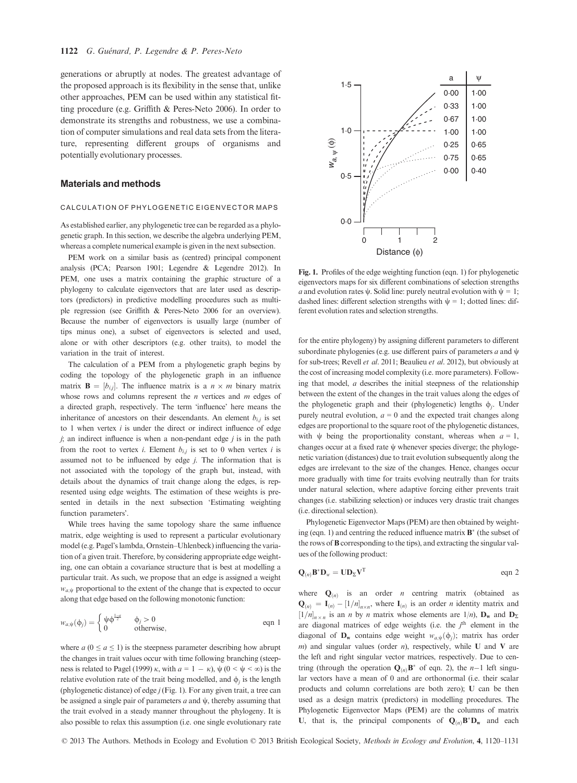generations or abruptly at nodes. The greatest advantage of the proposed approach is its flexibility in the sense that, unlike other approaches, PEM can be used within any statistical fitting procedure (e.g. Griffith & Peres-Neto 2006). In order to demonstrate its strengths and robustness, we use a combination of computer simulations and real data sets from the literature, representing different groups of organisms and potentially evolutionary processes.

#### Materials and methods

#### CALCULATION OF PHYLOGENETIC EIGENVECTOR MAPS

As established earlier, any phylogenetic tree can be regarded as a phylogenetic graph. In this section, we describe the algebra underlying PEM, whereas a complete numerical example is given in the next subsection.

PEM work on a similar basis as (centred) principal component analysis (PCA; Pearson 1901; Legendre & Legendre 2012). In PEM, one uses a matrix containing the graphic structure of a phylogeny to calculate eigenvectors that are later used as descriptors (predictors) in predictive modelling procedures such as multiple regression (see Griffith & Peres-Neto 2006 for an overview). Because the number of eigenvectors is usually large (number of tips minus one), a subset of eigenvectors is selected and used, alone or with other descriptors (e.g. other traits), to model the variation in the trait of interest.

The calculation of a PEM from a phylogenetic graph begins by coding the topology of the phylogenetic graph in an influence matrix  $\mathbf{B} = [b_{i,j}]$ . The influence matrix is a  $n \times m$  binary matrix whose rows and columns represent the  $n$  vertices and  $m$  edges of a directed graph, respectively. The term 'influence' here means the inheritance of ancestors on their descendants. An element  $b_{i,j}$  is set to 1 when vertex  $i$  is under the direct or indirect influence of edge  $\dot{y}$ ; an indirect influence is when a non-pendant edge  $\dot{y}$  is in the path from the root to vertex *i*. Element  $b_{i,j}$  is set to 0 when vertex *i* is assumed not to be influenced by edge  $j$ . The information that is not associated with the topology of the graph but, instead, with details about the dynamics of trait change along the edges, is represented using edge weights. The estimation of these weights is presented in details in the next subsection 'Estimating weighting function parameters'.

While trees having the same topology share the same influence matrix, edge weighting is used to represent a particular evolutionary model (e.g. Pagel's lambda, Ornstein–Uhlenbeck) influencing the variation of a given trait. Therefore, by considering appropriate edge weighting, one can obtain a covariance structure that is best at modelling a particular trait. As such, we propose that an edge is assigned a weight  $w_{a,\psi}$  proportional to the extent of the change that is expected to occur along that edge based on the following monotonic function:

$$
w_{a,\psi}(\phi_j) = \begin{cases} \psi \phi^{\frac{1-q}{2}} & \phi_j > 0\\ 0 & \text{otherwise}, \end{cases} \qquad \text{eqn 1}
$$

where  $a (0 \le a \le 1)$  is the steepness parameter describing how abrupt the changes in trait values occur with time following branching (steepness is related to Pagel (1999)  $\kappa$ , with  $a = 1 - \kappa$ ),  $\psi$  (0 <  $\psi$  <  $\infty$ ) is the relative evolution rate of the trait being modelled, and  $\phi_i$  is the length (phylogenetic distance) of edge  $j$  (Fig. 1). For any given trait, a tree can be assigned a single pair of parameters  $a$  and  $\psi$ , thereby assuming that the trait evolved in a steady manner throughout the phylogeny. It is also possible to relax this assumption (i.e. one single evolutionary rate



Fig. 1. Profiles of the edge weighting function (eqn. 1) for phylogenetic eigenvectors maps for six different combinations of selection strengths a and evolution rates  $\psi$ . Solid line: purely neutral evolution with  $\psi = 1$ ; dashed lines: different selection strengths with  $\psi = 1$ ; dotted lines: different evolution rates and selection strengths.

for the entire phylogeny) by assigning different parameters to different subordinate phylogenies (e.g. use different pairs of parameters  $a$  and  $\psi$ for sub-trees; Revell et al. 2011; Beaulieu et al. 2012), but obviously at the cost of increasing model complexity (i.e. more parameters). Following that model,  $a$  describes the initial steepness of the relationship between the extent of the changes in the trait values along the edges of the phylogenetic graph and their (phylogenetic) lengths  $\phi_i$ . Under purely neutral evolution,  $a = 0$  and the expected trait changes along edges are proportional to the square root of the phylogenetic distances, with  $\psi$  being the proportionality constant, whereas when  $a = 1$ , changes occur at a fixed rate  $\psi$  whenever species diverge; the phylogenetic variation (distances) due to trait evolution subsequently along the edges are irrelevant to the size of the changes. Hence, changes occur more gradually with time for traits evolving neutrally than for traits under natural selection, where adaptive forcing either prevents trait changes (i.e. stabilizing selection) or induces very drastic trait changes (i.e. directional selection).

Phylogenetic Eigenvector Maps (PEM) are then obtained by weighting (eqn. 1) and centring the reduced influence matrix  $\mathbf{B}^*$  (the subset of the rows of **B** corresponding to the tips), and extracting the singular values of the following product:

$$
\mathbf{Q}_{(n)}\mathbf{B}^*\mathbf{D}_w = \mathbf{U}\mathbf{D}_{\Sigma}\mathbf{V}^{\mathrm{T}}
$$
eqn 2

where  $\mathbf{Q}_{(n)}$  is an order *n* centring matrix (obtained as  $\mathbf{Q}_{(n)} = \mathbf{I}_{(n)} - [1/n]_{n \times n}$ , where  $\mathbf{I}_{(n)}$  is an order *n* identity matrix and  $\mathbf{D}_{(n)}$  and  $\mathbf{D}_{(n)}$  $[1/n]_{n \times n}$  is an *n* by *n* matrix whose elements are 1/n),  $\mathbf{D_w}$  and  $\mathbf{D_z}$ are diagonal matrices of edge weights (i.e. the  $j<sup>th</sup>$  element in the diagonal of  $\mathbf{D}_w$  contains edge weight  $w_{a,\psi}(\phi_i)$ ; matrix has order m) and singular values (order *n*), respectively, while U and V are the left and right singular vector matrices, respectively. Due to centring (through the operation  $\mathbf{Q}_{(n)}\mathbf{B}^*$  of eqn. 2), the n-1 left singular vectors have a mean of 0 and are orthonormal (i.e. their scalar products and column correlations are both zero); U can be then used as a design matrix (predictors) in modelling procedures. The Phylogenetic Eigenvector Maps (PEM) are the columns of matrix U, that is, the principal components of  $Q_{(n)}\mathbf{B}^*\mathbf{D}_{\mathbf{w}}$  and each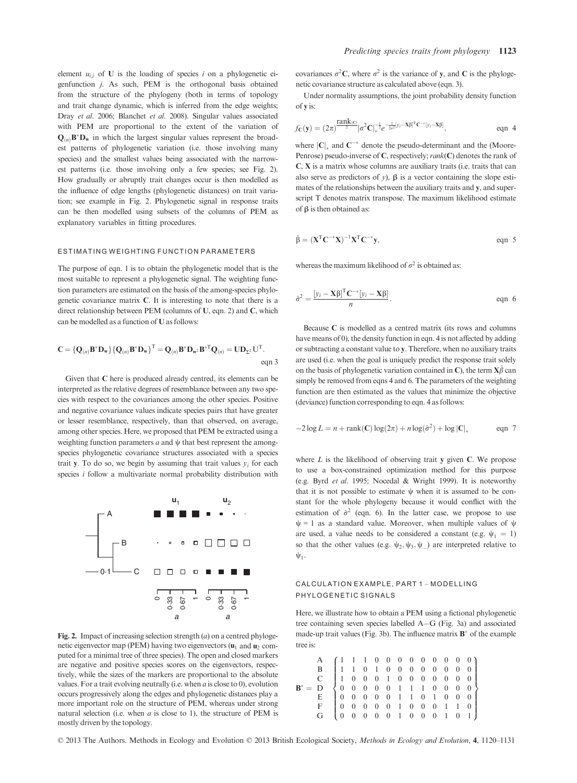element  $u_{i,j}$  of U is the loading of species i on a phylogenetic eigenfunction j. As such, PEM is the orthogonal basis obtained from the structure of the phylogeny (both in terms of topology and trait change dynamic, which is inferred from the edge weights; Dray et al. 2006; Blanchet et al. 2008). Singular values associated with PEM are proportional to the extent of the variation of  $\mathbf{Q}_{(n)}\mathbf{B}^*\mathbf{D}_{\mathbf{w}}$  in which the largest singular values represent the broadest patterns of phylogenetic variation (i.e. those involving many species) and the smallest values being associated with the narrowest patterns (i.e. those involving only a few species; see Fig. 2). How gradually or abruptly trait changes occur is then modelled as the influence of edge lengths (phylogenetic distances) on trait variation; see example in Fig. 2. Phylogenetic signal in response traits can be then modelled using subsets of the columns of PEM as explanatory variables in fitting procedures.

#### ESTIMATING WEIGHTING FUNCTION PARAMETERS

The purpose of eqn. 1 is to obtain the phylogenetic model that is the most suitable to represent a phylogenetic signal. The weighting function parameters are estimated on the basis of the among-species phylogenetic covariance matrix C. It is interesting to note that there is a direct relationship between PEM (columns of U, eqn. 2) and C, which can be modelled as a function of U as follows:

$$
C = \{Q_{(n)}B^*D_w\}\{Q_{(n)}B^*D_w\}^T = Q_{(n)}B^*D_{w^2}B^{*T}Q_{(n)} = UD_{\Sigma^2}U^T.
$$
  
eqn 3

Given that C here is produced already centred, its elements can be interpreted as the relative degrees of resemblance between any two species with respect to the covariances among the other species. Positive and negative covariance values indicate species pairs that have greater or lesser resemblance, respectively, than that observed, on average, among other species. Here, we proposed that PEM be extracted using a weighting function parameters  $a$  and  $\psi$  that best represent the amongspecies phylogenetic covariance structures associated with a species trait y. To do so, we begin by assuming that trait values  $y_i$  for each species *i* follow a multivariate normal probability distribution with



Fig. 2. Impact of increasing selection strength  $(a)$  on a centred phylogenetic eigenvector map (PEM) having two eigenvectors  $(\mathbf{u}_1$  and  $\mathbf{u}_2$  computed for a minimal tree of three species). The open and closed markers are negative and positive species scores on the eigenvectors, respectively, while the sizes of the markers are proportional to the absolute values. For a trait evolving neutrally (i.e. when  $a$  is close to 0), evolution occurs progressively along the edges and phylogenetic distances play a more important role on the structure of PEM, whereas under strong natural selection (i.e. when  $a$  is close to 1), the structure of PEM is mostly driven by the topology.

covariances  $\sigma^2 C$ , where  $\sigma^2$  is the variance of y, and C is the phylogenetic covariance structure as calculated above (eqn. 3).

Under normality assumptions, the joint probability density function of y is:

$$
f_{\mathbf{C}}(\mathbf{y}) = (2\pi)^{\frac{\text{rank}(c)}{2}} |\sigma^2 \mathbf{C}|_*^{-\frac{1}{2}} e^{-\frac{1}{2\sigma^2} [y_i - \mathbf{X}\beta]^T \mathbf{C}^{-*} [y_i - \mathbf{X}\beta]}, \quad \text{eqn 4}
$$

where  $|C|_*$  and  $C^{-*}$  denote the pseudo-determinant and the (Moore-<br>Densead power of  $C$  generatively say (C) denotes the reals of Penrose) pseudo-inverse of  $C$ , respectively;  $rank(C)$  denotes the rank of C, X is a matrix whose columns are auxiliary traits (i.e. traits that can also serve as predictors of  $y$ ),  $\beta$  is a vector containing the slope estimates of the relationships between the auxiliary traits and y, and superscript T denotes matrix transpose. The maximum likelihood estimate of β is then obtained as:

$$
\hat{\beta} = (\mathbf{X}^{\mathrm{T}} \mathbf{C}^{-*} \mathbf{X})^{-1} \mathbf{X}^{\mathrm{T}} \mathbf{C}^{-*} \mathbf{y}, \qquad \text{eqn 5}
$$

whereas the maximum likelihood of  $\sigma^2$  is obtained as:

$$
\hat{\sigma}^2 = \frac{[\mathbf{y}_i - \mathbf{X}\boldsymbol{\beta}]^{\mathrm{T}} \mathbf{C}^{-*} [\mathbf{y}_i - \mathbf{X}\boldsymbol{\beta}]}{n}.
$$
eqn 6

Because C is modelled as a centred matrix (its rows and columns have means of 0), the density function in eqn. 4 is not affected by adding or subtracting a constant value to y. Therefore, when no auxiliary traits are used (i.e. when the goal is uniquely predict the response trait solely on the basis of phylogenetic variation contained in C), the term  $\mathbf{X}\hat{\beta}$  can<br>cliently be seen and form ages  $\hat{\beta}$  can be a conservative of the multiplier simply be removed from eqns 4 and 6. The parameters of the weighting function are then estimated as the values that minimize the objective (deviance) function corresponding to eqn. 4 as follows:

$$
-2\log L = n + \operatorname{rank}(\mathbf{C})\log(2\pi) + n\log(\hat{\sigma}^2) + \log|\mathbf{C}|_* \qquad \text{eqn 7}
$$

where  $L$  is the likelihood of observing trait  $v$  given  $C$ . We propose to use a box-constrained optimization method for this purpose (e.g. Byrd et al. 1995; Nocedal & Wright 1999). It is noteworthy that it is not possible to estimate  $\psi$  when it is assumed to be constant for the whole phylogeny because it would conflict with the estimation of  $\hat{\sigma}^2$  (eqn. 6). In the latter case, we propose to use  $\psi = 1$  as a standard value. Moreover, when multiple values of  $\psi$ are used, a value needs to be considered a constant (e.g.  $\psi_1 = 1$ ) so that the other values (e.g.  $\psi_2, \psi_3, \psi$ ) are interpreted relative to  $\Psi_1$ .

#### CALCULATION EXAMPLE, PART 1 – MODELLING PHYLOGENETIC SIGNALS

Here, we illustrate how to obtain a PEM using a fictional phylogenetic tree containing seven species labelled  $A-G$  (Fig. 3a) and associated made-up trait values (Fig. 3b). The influence matrix  $\mathbf{B}^*$  of the example tree is:

| $\mathbf{B}^* = \begin{bmatrix} 1 & 1 & 1 & 0 & 0 & 0 & 0 & 0 & 0 & 0 & 0 & 0 \\ 1 & 1 & 0 & 1 & 0 & 0 & 0 & 0 & 0 & 0 & 0 & 0 \\ 1 & 0 & 0 & 0 & 1 & 0 & 0 & 0 & 0 & 0 & 0 & 0 \\ 0 & 0 & 0 & 0 & 0 & 1 & 1 & 1 & 0 & 0 & 0 & 0 \\ E & 0 & 0 & 0 & 0 & 0 & 1 & 1 & 0 & 1 & 0 & 0 & 0 \\ F & 0 & 0 & 0 & 0 & 0 & 1 & 0 &$ |  |  |  |  |  |  |  |
|---------------------------------------------------------------------------------------------------------------------------------------------------------------------------------------------------------------------------------------------------------------------------------------------------------------------------|--|--|--|--|--|--|--|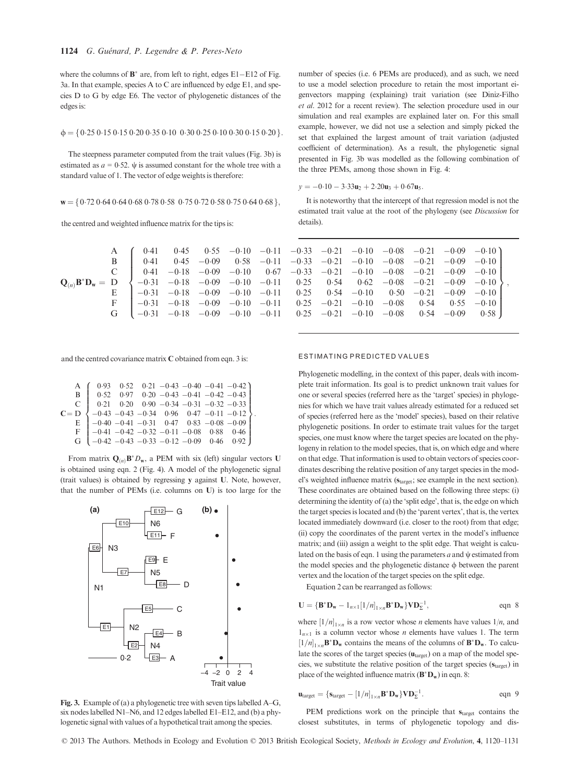where the columns of  $\mathbf{B}^*$  are, from left to right, edges E1-E12 of Fig. 3a. In that example, species A to C are influenced by edge E1, and species D to G by edge E6. The vector of phylogenetic distances of the edges is:

$$
\phi = \{0.25\,0.15\,0.15\,0.20\,0.35\,0.10\,0.30\,0.25\,0.10\,0.30\,0.15\,0.20\}.
$$

The steepness parameter computed from the trait values (Fig. 3b) is estimated as  $a = 0.52$ . W is assumed constant for the whole tree with a standard value of 1. The vector of edge weights is therefore:

 $\mathbf{w} = \{0.72\,0.64\,0.64\,0.68\,0.78\,0.58\,0.75\,0.72\,0.58\,0.75\,0.64\,0.68\}.$ 

the centred and weighted influence matrix for the tips is:

| A<br>B<br>$\mathbf{Q}_{(n)}\mathbf{B}^*\mathbf{D_w} = \begin{bmatrix} 0.41 & 0.45 & 0.55 & -0.10 & -0.11 & -0.33 & -0.21 & -0.10 & -0.08 & -0.21 & -0.09 & -0.10 \\ 0.41 & 0.45 & -0.09 & 0.58 & -0.11 & -0.33 & -0.21 & -0.10 & -0.08 & -0.21 & -0.09 & -0.10 \\ 0.41 & -0.18 & -0.09 & -0.10 & 0.67 & -0.33 & -0.2$ |  |  |  |  |  |  |  |
|-----------------------------------------------------------------------------------------------------------------------------------------------------------------------------------------------------------------------------------------------------------------------------------------------------------------------|--|--|--|--|--|--|--|

:

and the centred covariance matrix C obtained from eqn. 3 is:

A B C D E F G <sup>0</sup>93 052 0<sup>21</sup> 0<sup>43</sup> 0<sup>40</sup> 0<sup>41</sup> 0<sup>42</sup> <sup>0</sup>52 097 0<sup>20</sup> 0<sup>43</sup> 0<sup>41</sup> 0<sup>42</sup> 0<sup>43</sup> <sup>0</sup>21 020 0<sup>90</sup> 0<sup>34</sup> 0<sup>31</sup> 0<sup>32</sup> 0<sup>33</sup> 0<sup>43</sup> 0<sup>43</sup> 034 096 0<sup>47</sup> 0<sup>11</sup> 0<sup>12</sup> 0<sup>40</sup> 0<sup>41</sup> 031 047 0<sup>83</sup> 0<sup>08</sup> 0<sup>09</sup> 0<sup>41</sup> 0<sup>42</sup> 0<sup>32</sup> 0<sup>11</sup> 008 088 0<sup>46</sup> 0<sup>42</sup> 0<sup>43</sup> 0<sup>33</sup> 0<sup>12</sup> 009 046 0<sup>92</sup> 8 >>>>>>>>< >>>>>>>>: 9 >>>>>>>>= >>>>>>>>;

From matrix  $\mathbf{Q}_{(n)}\mathbf{B}^*D_{\mathbf{w}}$ , a PEM with six (left) singular vectors U is obtained using eqn. 2 (Fig. 4). A model of the phylogenetic signal (trait values) is obtained by regressing y against U. Note, however, that the number of PEMs (i.e. columns on U) is too large for the



Fig. 3. Example of (a) a phylogenetic tree with seven tips labelled A–G, six nodes labelled N1–N6, and 12 edges labelled E1–E12, and (b) a phylogenetic signal with values of a hypothetical trait among the species.

number of species (i.e. 6 PEMs are produced), and as such, we need to use a model selection procedure to retain the most important eigenvectors mapping (explaining) trait variation (see Diniz-Filho et al. 2012 for a recent review). The selection procedure used in our simulation and real examples are explained later on. For this small example, however, we did not use a selection and simply picked the set that explained the largest amount of trait variation (adjusted coefficient of determination). As a result, the phylogenetic signal presented in Fig. 3b was modelled as the following combination of the three PEMs, among those shown in Fig. 4:

 $y = -0.10 - 3.33u_2 + 2.20u_3 + 0.67u_5.$ 

It is noteworthy that the intercept of that regression model is not the estimated trait value at the root of the phylogeny (see Discussion for details).

|  |  | $0.55$ $-0.10$ $-0.11$ $-0.33$ $-0.21$ $-0.10$ $-0.08$ $-0.21$ $-0.09$ $-0.10$ )                    |  |      |  | 0.45                                    | 0.41 |
|--|--|-----------------------------------------------------------------------------------------------------|--|------|--|-----------------------------------------|------|
|  |  | $0.45$ $-0.09$ $0.58$ $-0.11$ $-0.33$ $-0.21$ $-0.10$ $-0.08$ $-0.21$ $-0.09$ $-0.10$               |  |      |  |                                         | 0.41 |
|  |  | $0.41$ $-0.18$ $-0.09$ $-0.10$ $0.67$ $-0.33$ $-0.21$ $-0.10$ $-0.08$ $-0.21$ $-0.09$ $-0.10$       |  |      |  |                                         |      |
|  |  | $-0.31$ $-0.18$ $-0.09$ $-0.10$ $-0.11$ $0.25$ $0.54$ $0.62$ $-0.08$ $-0.21$ $-0.09$ $-0.10$ $\}$ , |  |      |  |                                         |      |
|  |  | $0.54$ $-0.10$ $0.50$ $-0.21$ $-0.09$ $-0.10$                                                       |  | 0.25 |  | $-0.31$ $-0.18$ $-0.09$ $-0.10$ $-0.11$ |      |
|  |  | $-0.21$ $-0.10$ $-0.08$ $0.54$ $0.55$ $-0.10$                                                       |  | 0.25 |  | $-0.31$ $-0.18$ $-0.09$ $-0.10$ $-0.11$ |      |
|  |  | $0.25$ $-0.21$ $-0.10$ $-0.08$ $0.54$ $-0.09$ $0.58$                                                |  |      |  | $-0.31$ $-0.18$ $-0.09$ $-0.10$ $-0.11$ |      |
|  |  |                                                                                                     |  |      |  |                                         |      |

#### ESTIMATING PREDICTED VALUES

Phylogenetic modelling, in the context of this paper, deals with incomplete trait information. Its goal is to predict unknown trait values for one or several species (referred here as the 'target' species) in phylogenies for which we have trait values already estimated for a reduced set of species (referred here as the 'model' species), based on their relative phylogenetic positions. In order to estimate trait values for the target species, one must know where the target species are located on the phylogeny in relation to the model species, that is, on which edge and where on that edge. That information is used to obtain vectors of species coordinates describing the relative position of any target species in the model's weighted influence matrix ( $s<sub>target</sub>$ ; see example in the next section). These coordinates are obtained based on the following three steps: (i) determining the identity of (a) the 'split edge', that is, the edge on which the target species is located and (b) the 'parent vertex', that is, the vertex located immediately downward (i.e. closer to the root) from that edge; (ii) copy the coordinates of the parent vertex in the model's influence matrix; and (iii) assign a weight to the split edge. That weight is calculated on the basis of eqn. 1 using the parameters  $a$  and  $\psi$  estimated from the model species and the phylogenetic distance  $\phi$  between the parent vertex and the location of the target species on the split edge.

Equation 2 can be rearranged as follows:

$$
\mathbf{U} = {\mathbf{B}^*} \mathbf{D_w} - \mathbf{1}_{n \times 1} [1/n]_{1 \times n} \mathbf{B}^* \mathbf{D_w} {\mathbf{V}} \mathbf{D}_{\Sigma}^{-1}, \qquad \text{eqn 8}
$$

where  $[1/n]_{1\times n}$  is a row vector whose *n* elements have values  $1/n$ , and  $1/n$  is a solumn vector whose *n* elements have values 1. The term  $1_{n\times 1}$  is a column vector whose *n* elements have values 1. The term  $[1/n]_{1 \times n}$ **B<sup>\*</sup>D<sub>w</sub>** contains the means of the columns of **B<sup>\*</sup>D<sub>w</sub>**. To calculate the scores of the target species ( $u_{\text{target}}$ ) on a map of the model species, we substitute the relative position of the target species (starget) in place of the weighted influence matrix  $(\mathbf{B}^* \mathbf{D}_w)$  in eqn. 8:

$$
\mathbf{u}_{\text{target}} = \{ \mathbf{s}_{\text{target}} - [1/n]_{1 \times n} \mathbf{B}^* \mathbf{D}_\mathbf{w} \} \mathbf{V} \mathbf{D}_{\Sigma}^{-1}.
$$
eqn 9

PEM predictions work on the principle that  $s_{\text{target}}$  contains the closest substitutes, in terms of phylogenetic topology and dis-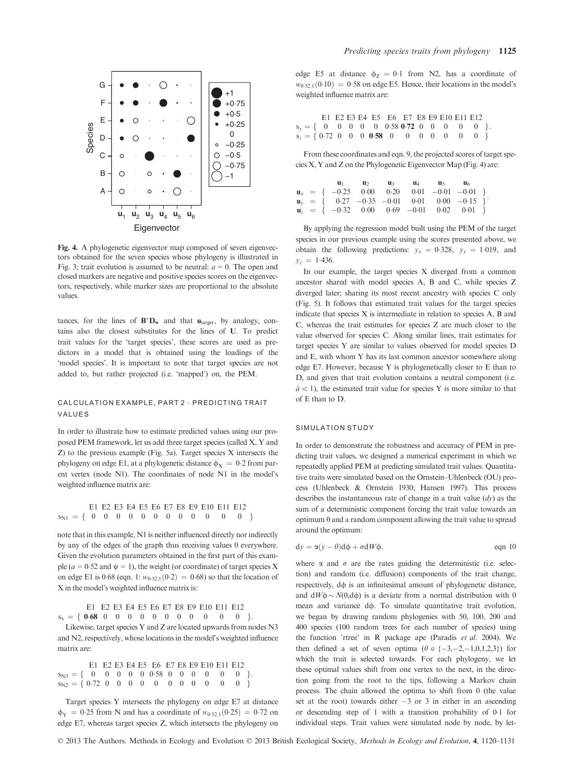

Fig. 4. A phylogenetic eigenvector map composed of seven eigenvectors obtained for the seven species whose phylogeny is illustrated in Fig. 3; trait evolution is assumed to be neutral:  $a = 0$ . The open and closed markers are negative and positive species scores on the eigenvectors, respectively, while marker sizes are proportional to the absolute values.

tances, for the lines of  $\mathbf{B}^* \mathbf{D}_w$  and that  $\mathbf{u}_{\text{target}}$ , by analogy, contains also the closest substitutes for the lines of U. To predict trait values for the 'target species', these scores are used as predictors in a model that is obtained using the loadings of the 'model species'. It is important to note that target species are not added to, but rather projected (i.e. 'mapped') on, the PEM.

#### CALCULATION EXAMPLE, PART 2 – PREDICTING TRAIT VALUES

In order to illustrate how to estimate predicted values using our proposed PEM framework, let us add three target species (called X, Y and Z) to the previous example (Fig. 5a). Target species X intersects the phylogeny on edge E1, at a phylogenetic distance  $\phi_X = 0.2$  from parent vertex (node N1). The coordinates of node N1 in the model's weighted influence matrix are:

$$
s_{N1} = \{ \begin{array}{cccccc} E1 & E2 & E3 & E4 & E5 & E6 & E7 & E8 & E9 & E10 & E11 & E12 \\ 0 & 0 & 0 & 0 & 0 & 0 & 0 & 0 & 0 & 0 \\ 0 & 0 & 0 & 0 & 0 & 0 & 0 & 0 & 0 \end{array} \}
$$

note that in this example, N1 is neither influenced directly nor indirectly by any of the edges of the graph thus receiving values 0 everywhere. Given the evolution parameters obtained in the first part of this example ( $a = 0.52$  and  $\psi = 1$ ), the weight (or coordinate) of target species X on edge E1 is 0.68 (eqn. 1:  $w_{0.52,1}(0.2) = 0.68$ ) so that the location of X in the model's weighted influence matrix is:

E1 E2 E3 E4 E5 E6 E7 E8 E9 E10 E11 E12

sx ¼ f <sup>0</sup><sup>68</sup> 00000000 0 0 0 <sup>g</sup>: Likewise, target species Y and Z are located upwards from nodes N3 and N2, respectively, whose locations in the model's weighted influence matrix are:

E1 E2 E3 E4 E5 E6 E7 E8 E9 E10 E11 E12  $s_{N3} = \{ \begin{array}{cccccc} 0 & 0 & 0 & 0 & 0.58 & 0 & 0 & 0 & 0 & 0 & 0 \\ 0 & 0 & 0 & 0 & 0 & 0 & 0 & 0 & 0 & 0 & 0 \\ s_{N2} = \{ 0.72 & 0 & 0 & 0 & 0 & 0 & 0 & 0 & 0 & 0 & 0 \end{array} \}$ sN2 ¼ f <sup>0</sup>72 0 0 0 0 0 0 0 0 0 0 0 <sup>g</sup>

Target species Y intersects the phylogeny on edge E7 at distance  $\phi_Y = 0.25$  from N and has a coordinate of  $w_{0.52,1}(0.25) = 0.72$  on edge E7, whereas target species Z, which intersects the phylogeny on edge E5 at distance  $\phi_Z = 0.1$  from N2, has a coordinate of  $w_{0.52,1}(0.10) = 0.58$  on edge E5. Hence, their locations in the model's weighted influence matrix are:

| $s_v = \{ 0 \t 0 \t 0 \t 0 \t 0 \t 0.58 \t 0.72 \t 0 \t 0 \t 0 \t 0 \t 0 \}.$                                                            |  |  |
|------------------------------------------------------------------------------------------------------------------------------------------|--|--|
|                                                                                                                                          |  |  |
| $s_z = \{ 0.72 \space 0 \space 0 \space 0.058 \space 0 \space 0 \space 0 \space 0 \space 0 \space 0 \space 0 \space 0 \space 0 \space )$ |  |  |

From these coordinates and eqn. 9, the projected scores of target species X, Y and Z on the Phylogenetic Eigenvector Map (Fig. 4) are:

|  |  |  | $\mathbf{u}_1$ $\mathbf{u}_2$ $\mathbf{u}_3$ $\mathbf{u}_4$ $\mathbf{u}_5$ $\mathbf{u}_6$   |  |  |
|--|--|--|---------------------------------------------------------------------------------------------|--|--|
|  |  |  | $\mathbf{u}_x = \{ -0.25 \quad 0.00 \quad 0.20 \quad 0.01 \quad -0.01 \quad -0.01 \}$       |  |  |
|  |  |  | $\mathbf{u}_{v} = \begin{bmatrix} 0.27 & -0.35 & -0.01 & 0.01 & 0.00 & -0.15 \end{bmatrix}$ |  |  |
|  |  |  | $\mathbf{u}_z = \{ -0.32 \quad 0.00 \quad 0.69 \quad -0.01 \quad 0.02 \quad 0.01 \}$        |  |  |
|  |  |  |                                                                                             |  |  |

By applying the regression model built using the PEM of the target species in our previous example using the scores presented above, we obtain the following predictions:  $y_x = 0.328$ ,  $y_y = 1.019$ , and  $y_z = 1.436$ .

In our example, the target species X diverged from a common ancestor shared with model species A, B and C, while species Z diverged later; sharing its most recent ancestry with species C only (Fig. 5). It follows that estimated trait values for the target species indicate that species X is intermediate in relation to species A, B and C, whereas the trait estimates for species Z are much closer to the value observed for species C. Along similar lines, trait estimates for target species Y are similar to values observed for model species D and E, with whom Y has its last common ancestor somewhere along edge E7. However, because Y is phylogenetically closer to E than to D, and given that trait evolution contains a neutral component (i.e.  $\hat{a}$  < 1), the estimated trait value for species Y is more similar to that of E than to D.

#### SIMULATION STUDY

In order to demonstrate the robustness and accuracy of PEM in predicting trait values, we designed a numerical experiment in which we repeatedly applied PEM at predicting simulated trait values. Quantitative traits were simulated based on the Ornstein–Uhlenbeck (OU) process (Uhlenbeck & Ornstein 1930; Hansen 1997). This process describes the instantaneous rate of change in a trait value  $(dy)$  as the sum of a deterministic component forcing the trait value towards an optimum  $\theta$  and a random component allowing the trait value to spread around the optimum:

$$
dy = \alpha(y - \theta)d\phi + \sigma dW\phi, \qquad \text{eqn 10}
$$

where  $\alpha$  and  $\sigma$  are the rates guiding the deterministic (i.e. selection) and random (i.e. diffusion) components of the trait change, respectively,  $d\phi$  is an infinitesimal amount of phylogenetic distance, and  $dW\phi \sim N(0, d\phi)$  is a deviate from a normal distribution with 0 mean and variance d $\phi$ . To simulate quantitative trait evolution, we began by drawing random phylogenies with 50, 100, 200 and 400 species (100 random trees for each number of species) using the function 'rtree' in R package ape (Paradis et al. 2004). We then defined a set of seven optima ( $\theta \in \{-3,-2,-1,0,1,2,3\}$ ) for which the trait is selected towards. For each phylogeny, we let these optimal values shift from one vertex to the next, in the direction going from the root to the tips, following a Markov chain process. The chain allowed the optima to shift from 0 (the value set at the root) towards either  $-3$  or 3 in either in an ascending or descending step of 1 with a transition probability of 01 for individual steps. Trait values were simulated node by node, by let-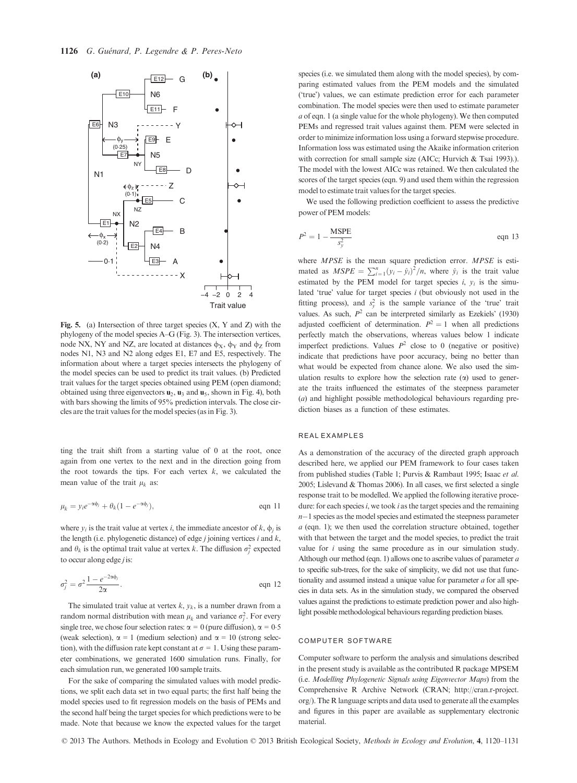

Fig. 5. (a) Intersection of three target species  $(X, Y, Z)$  with the phylogeny of the model species A–G (Fig. 3). The intersection vertices, node NX, NY and NZ, are located at distances  $\phi_X$ ,  $\phi_Y$  and  $\phi_Z$  from nodes N1, N3 and N2 along edges E1, E7 and E5, respectively. The information about where a target species intersects the phylogeny of the model species can be used to predict its trait values. (b) Predicted trait values for the target species obtained using PEM (open diamond; obtained using three eigenvectors  $\mathbf{u}_2$ ,  $\mathbf{u}_3$  and  $\mathbf{u}_5$ , shown in Fig. 4), both with bars showing the limits of 95% prediction intervals. The close circles are the trait values for the model species (as in Fig. 3).

ting the trait shift from a starting value of 0 at the root, once again from one vertex to the next and in the direction going from the root towards the tips. For each vertex  $k$ , we calculated the mean value of the trait  $\mu_k$  as:

$$
\mu_k = y_i e^{-\alpha \phi_j} + \theta_k (1 - e^{-\alpha \phi_j}), \qquad \text{eqn 11}
$$

where  $y_i$  is the trait value at vertex i, the immediate ancestor of k,  $\phi_i$  is the length (i.e. phylogenetic distance) of edge  $j$  joining vertices  $i$  and  $k$ , and  $\theta_k$  is the optimal trait value at vertex k. The diffusion  $\sigma_j^2$  expected to occur along edge  $j$  is:

$$
\sigma_j^2 = \sigma^2 \frac{1 - e^{-2\alpha\phi_j}}{2\alpha}.
$$
eqn 12

The simulated trait value at vertex  $k$ ,  $y_k$ , is a number drawn from a random normal distribution with mean  $\mu_k$  and variance  $\sigma_j^2$ . For every single tree, we chose four selection rates:  $\alpha = 0$  (pure diffusion),  $\alpha = 0.5$ (weak selection),  $\alpha = 1$  (medium selection) and  $\alpha = 10$  (strong selection), with the diffusion rate kept constant at  $\sigma = 1$ . Using these parameter combinations, we generated 1600 simulation runs. Finally, for each simulation run, we generated 100 sample traits.

For the sake of comparing the simulated values with model predictions, we split each data set in two equal parts; the first half being the model species used to fit regression models on the basis of PEMs and the second half being the target species for which predictions were to be made. Note that because we know the expected values for the target

species (i.e. we simulated them along with the model species), by comparing estimated values from the PEM models and the simulated ('true') values, we can estimate prediction error for each parameter combination. The model species were then used to estimate parameter a of eqn. 1 (a single value for the whole phylogeny). We then computed PEMs and regressed trait values against them. PEM were selected in order to minimize information loss using a forward stepwise procedure. Information loss was estimated using the Akaike information criterion with correction for small sample size (AICc; Hurvich & Tsai 1993).). The model with the lowest AICc was retained. We then calculated the scores of the target species (eqn. 9) and used them within the regression model to estimate trait values for the target species.

We used the following prediction coefficient to assess the predictive power of PEM models:

$$
P^2 = 1 - \frac{\text{MSPE}}{s_y^2}
$$
eqn 13

where MPSE is the mean square prediction error. MPSE is estimated as  $MSPE = \sum_{i=1}^{n} (y_i - \hat{y}_i)^2/n$ , where  $\hat{y}_i$  is the trait value estimated by the PEM model for target species  $i, y_i$  is the simulated 'true' value for target species  $i$  (but obviously not used in the fitting process), and  $s_y^2$  is the sample variance of the 'true' trait values. As such,  $P^2$  can be interpreted similarly as Ezekiels' (1930) adjusted coefficient of determination.  $P^2 = 1$  when all predictions perfectly match the observations, whereas values below 1 indicate imperfect predictions. Values  $P^2$  close to 0 (negative or positive) indicate that predictions have poor accuracy, being no better than what would be expected from chance alone. We also used the simulation results to explore how the selection rate  $(\alpha)$  used to generate the traits influenced the estimates of the steepness parameter (a) and highlight possible methodological behaviours regarding prediction biases as a function of these estimates.

#### REAL EXAMPLES

As a demonstration of the accuracy of the directed graph approach described here, we applied our PEM framework to four cases taken from published studies (Table 1; Purvis & Rambaut 1995; Isaac et al. 2005; Lislevand & Thomas 2006). In all cases, we first selected a single response trait to be modelled. We applied the following iterative procedure: for each species  $i$ , we took  $i$  as the target species and the remaining  $n-1$  species as the model species and estimated the steepness parameter  $a$  (eqn. 1); we then used the correlation structure obtained, together with that between the target and the model species, to predict the trait value for  $i$  using the same procedure as in our simulation study. Although our method (eqn. 1) allows one to ascribe values of parameter  $a$ to specific sub-trees, for the sake of simplicity, we did not use that functionality and assumed instead a unique value for parameter  $a$  for all species in data sets. As in the simulation study, we compared the observed values against the predictions to estimate prediction power and also highlight possible methodological behaviours regarding prediction biases.

#### COMPUTER SOFTWARE

Computer software to perform the analysis and simulations described in the present study is available as the contributed R package MPSEM (i.e. Modelling Phylogenetic Signals using Eigenvector Maps) from the Comprehensive R Archive Network (CRAN; http://cran.r-project. org/). The R language scripts and data used to generate all the examples and figures in this paper are available as supplementary electronic material.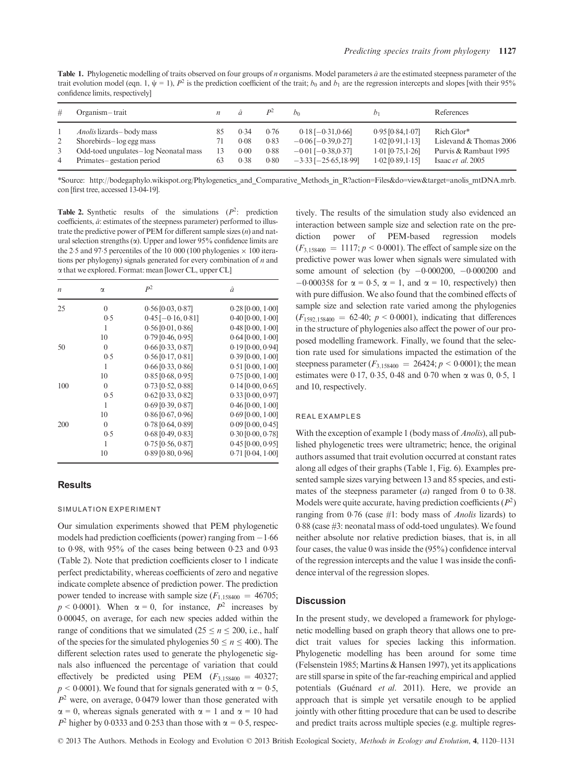Table 1. Phylogenetic modelling of traits observed on four groups of n organisms. Model parameters  $\hat{a}$  are the estimated steepness parameter of the trait evolution model (eqn. 1,  $\psi = 1$ ),  $P^2$  is the prediction coefficient of the trait;  $b_0$  and  $b_1$  are the regression intercepts and slopes [with their 95%] confidence limits, respectively]

|        | Organism-trait                                                                                                                        | n                    |                              | D <sup>2</sup>               | $b_0$                                                                                                   | b <sub>1</sub>                                                                           | References                                                                                   |
|--------|---------------------------------------------------------------------------------------------------------------------------------------|----------------------|------------------------------|------------------------------|---------------------------------------------------------------------------------------------------------|------------------------------------------------------------------------------------------|----------------------------------------------------------------------------------------------|
| 3<br>4 | <i>Anolis</i> lizards – body mass<br>Shorebirds $-\log$ egg mass<br>Odd-toed ungulates-log Neonatal mass<br>Primates-gestation period | 85<br>71<br>13<br>63 | 0.34<br>0.08<br>0.00<br>0.38 | 0.76<br>0.83<br>0.88<br>0.80 | $0.18[-0.31, 0.66]$<br>$-0.06$ [ $-0.39, 0.27$ ]<br>$-0.01$ [ $-0.38, 0.37$ ]<br>$-3.33[-25.65, 18.99]$ | $0.95$ [0.84, 1.07]<br>$1.02$ [0.91, 1.13]<br>$1.01$ [0.75, 1.26]<br>$1.02$ [0.89, 1.15] | Rich Glor*<br>Lislevand & Thomas 2006<br>Purvis & Rambaut 1995<br>Isaac <i>et al.</i> $2005$ |

\*Source: http://bodegaphylo.wikispot.org/Phylogenetics\_and\_Comparative\_Methods\_in\_R?action=Files&do=view&target=anolis\_mtDNA.mrb. con [first tree, accessed 13-04-19].

**Table 2.** Synthetic results of the simulations  $(P^2)$ : prediction coefficients,  $\hat{a}$ : estimates of the steepness parameter) performed to illustrate the predictive power of PEM for different sample sizes  $(n)$  and natural selection strengths  $(\alpha)$ . Upper and lower 95% confidence limits are the 2.5 and 97.5 percentiles of the 10 000 (100 phylogenies  $\times$  100 iterations per phylogeny) signals generated for every combination of  $n$  and a that we explored. Format: mean [lower CL, upper CL]

| $\boldsymbol{n}$ | $\alpha$ | $P^2$                      | â                          |
|------------------|----------|----------------------------|----------------------------|
| 25               | $\Omega$ | $0.56$ [0.03, 0.87]        | $0.28$ [0.00, 1.00]        |
|                  | 0.5      | $0.45$ [-0.16, 0.81]       | $0.40$ [ $0.00, 1.00$ ]    |
|                  | 1        | $0.56$ [ $0.01$ , $0.86$ ] | $0.48$ [ $0.00$ , $1.00$ ] |
|                  | 10       | $0.79$ [0.46, 0.95]        | $0.64$ [ $0.00, 1.00$ ]    |
| 50               | $\Omega$ | $0.66$ [ $0.33$ , $0.87$ ] | $0.19$ [0.00, 0.94]        |
|                  | 0.5      | 0.56 [0.17, 0.81]          | $0.39$ [ $0.00, 1.00$ ]    |
|                  | 1        | $0.66$ [ $0.33$ , $0.86$ ] | $0.51$ [ $0.00$ , $1.00$ ] |
|                  | 10       | $0.85$ [0.68, 0.95]        | $0.75$ [ $0.00, 1.00$ ]    |
| 100              | $\theta$ | $0.73$ [ $0.52$ , $0.88$ ] | $0.14$ [0.00, 0.65]        |
|                  | 0.5      | $0.62$ [ $0.33$ , $0.82$ ] | $0.33$ [ $0.00, 0.97$ ]    |
|                  | 1        | $0.69$ [0.39, 0.87]        | $0.46$ [ $0.00, 1.00$ ]    |
|                  | 10       | $0.86$ [0.67, 0.96]        | $0.69$ [ $0.00, 1.00$ ]    |
| 200              | $\Omega$ | $0.78$ [0.64, 0.89]        | $0.09$ [ $0.00$ , $0.45$ ] |
|                  | 0.5      | $0.68$ [0.49, 0.83]        | $0.30$ [ $0.00$ , $0.78$ ] |
|                  | 1        | $0.75$ [0.56, 0.87]        | $0.45$ [0.00, 0.95]        |
|                  | 10       | $0.89$ [ $0.80, 0.96$ ]    | $0.71$ [0.04, 1.00]        |

#### **Results**

#### SIMULATION EXPERIMENT

Our simulation experiments showed that PEM phylogenetic models had prediction coefficients (power) ranging from  $-1.66$ to 0.98, with 95% of the cases being between 0.23 and 0.93 (Table 2). Note that prediction coefficients closer to 1 indicate perfect predictability, whereas coefficients of zero and negative indicate complete absence of prediction power. The prediction power tended to increase with sample size  $(F_{1,158400} = 46705;$  $p < 0.0001$ ). When  $\alpha = 0$ , for instance,  $P^2$  increases by <sup>0</sup>00045, on average, for each new species added within the range of conditions that we simulated ( $25 \le n \le 200$ , i.e., half of the species for the simulated phylogenies 50  $\le n \le 400$ ). The different selection rates used to generate the phylogenetic signals also influenced the percentage of variation that could effectively be predicted using PEM  $(F_{3,158400} = 40327;$  $p < 0.0001$ ). We found that for signals generated with  $\alpha = 0.5$ ,  $P<sup>2</sup>$  were, on average, 0.0479 lower than those generated with  $\alpha = 0$ , whereas signals generated with  $\alpha = 1$  and  $\alpha = 10$  had  $P^2$  higher by 0.0333 and 0.253 than those with  $\alpha = 0.5$ , respectively. The results of the simulation study also evidenced an interaction between sample size and selection rate on the prediction power of PEM-based regression models  $(F_{3,158400} = 1117; p < 0.0001)$ . The effect of sample size on the predictive power was lower when signals were simulated with some amount of selection (by  $-0.000200$ ,  $-0.000200$  and  $-0.000358$  for  $\alpha = 0.5$ ,  $\alpha = 1$ , and  $\alpha = 10$ , respectively) then with pure diffusion. We also found that the combined effects of sample size and selection rate varied among the phylogenies  $(F_{1592,158400} = 62.40; p < 0.0001)$ , indicating that differences in the structure of phylogenies also affect the power of our proposed modelling framework. Finally, we found that the selection rate used for simulations impacted the estimation of the steepness parameter  $(F_{3,158400} = 26424; p \le 0.0001)$ ; the mean estimates were  $0.17, 0.35, 0.48$  and  $0.70$  when  $\alpha$  was  $0, 0.5, 1$ and 10, respectively.

#### REAL EXAMPLES

With the exception of example 1 (body mass of *Anolis*), all published phylogenetic trees were ultrametric; hence, the original authors assumed that trait evolution occurred at constant rates along all edges of their graphs (Table 1, Fig. 6). Examples presented sample sizes varying between 13 and 85 species, and estimates of the steepness parameter  $(a)$  ranged from 0 to 0.38. Models were quite accurate, having prediction coefficients  $(P^2)$ ranging from  $0.76$  (case #1: body mass of *Anolis* lizards) to <sup>0</sup>88 (case #3: neonatal mass of odd-toed ungulates). We found neither absolute nor relative prediction biases, that is, in all four cases, the value 0 was inside the (95%) confidence interval of the regression intercepts and the value 1 was inside the confidence interval of the regression slopes.

#### **Discussion**

In the present study, we developed a framework for phylogenetic modelling based on graph theory that allows one to predict trait values for species lacking this information. Phylogenetic modelling has been around for some time (Felsenstein 1985; Martins & Hansen 1997), yet its applications are still sparse in spite of the far-reaching empirical and applied potentials (Guénard et al. 2011). Here, we provide an approach that is simple yet versatile enough to be applied jointly with other fitting procedure that can be used to describe and predict traits across multiple species (e.g. multiple regres-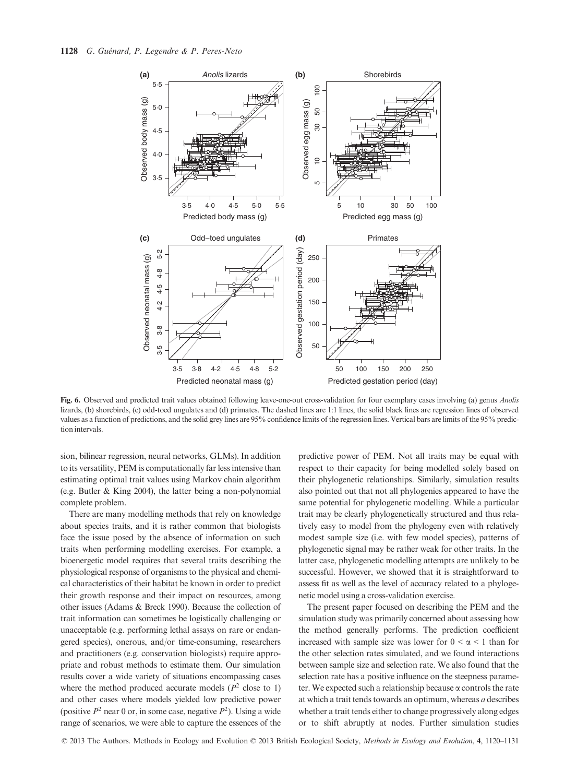

Fig. 6. Observed and predicted trait values obtained following leave-one-out cross-validation for four exemplary cases involving (a) genus Anolis lizards, (b) shorebirds, (c) odd-toed ungulates and (d) primates. The dashed lines are 1:1 lines, the solid black lines are regression lines of observed values as a function of predictions, and the solid grey lines are 95% confidence limits of the regression lines. Vertical bars are limits of the 95% prediction intervals.

sion, bilinear regression, neural networks, GLMs). In addition to its versatility, PEM is computationally far less intensive than estimating optimal trait values using Markov chain algorithm (e.g. Butler & King 2004), the latter being a non-polynomial complete problem.

There are many modelling methods that rely on knowledge about species traits, and it is rather common that biologists face the issue posed by the absence of information on such traits when performing modelling exercises. For example, a bioenergetic model requires that several traits describing the physiological response of organisms to the physical and chemical characteristics of their habitat be known in order to predict their growth response and their impact on resources, among other issues (Adams & Breck 1990). Because the collection of trait information can sometimes be logistically challenging or unacceptable (e.g. performing lethal assays on rare or endangered species), onerous, and/or time-consuming, researchers and practitioners (e.g. conservation biologists) require appropriate and robust methods to estimate them. Our simulation results cover a wide variety of situations encompassing cases where the method produced accurate models ( $P^2$  close to 1) and other cases where models yielded low predictive power (positive  $P^2$  near 0 or, in some case, negative  $P^2$ ). Using a wide range of scenarios, we were able to capture the essences of the predictive power of PEM. Not all traits may be equal with respect to their capacity for being modelled solely based on their phylogenetic relationships. Similarly, simulation results also pointed out that not all phylogenies appeared to have the same potential for phylogenetic modelling. While a particular trait may be clearly phylogenetically structured and thus relatively easy to model from the phylogeny even with relatively modest sample size (i.e. with few model species), patterns of phylogenetic signal may be rather weak for other traits. In the latter case, phylogenetic modelling attempts are unlikely to be successful. However, we showed that it is straightforward to assess fit as well as the level of accuracy related to a phylogenetic model using a cross-validation exercise.

The present paper focused on describing the PEM and the simulation study was primarily concerned about assessing how the method generally performs. The prediction coefficient increased with sample size was lower for  $0 < \alpha < 1$  than for the other selection rates simulated, and we found interactions between sample size and selection rate. We also found that the selection rate has a positive influence on the steepness parameter. We expected such a relationship because  $\alpha$  controls the rate at which a trait tends towards an optimum, whereas a describes whether a trait tends either to change progressively along edges or to shift abruptly at nodes. Further simulation studies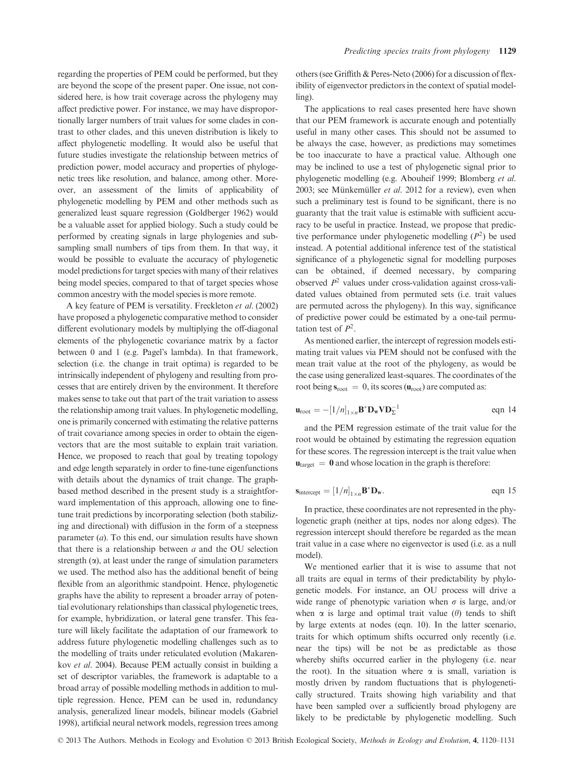regarding the properties of PEM could be performed, but they are beyond the scope of the present paper. One issue, not considered here, is how trait coverage across the phylogeny may affect predictive power. For instance, we may have disproportionally larger numbers of trait values for some clades in contrast to other clades, and this uneven distribution is likely to affect phylogenetic modelling. It would also be useful that future studies investigate the relationship between metrics of prediction power, model accuracy and properties of phylogenetic trees like resolution, and balance, among other. Moreover, an assessment of the limits of applicability of phylogenetic modelling by PEM and other methods such as generalized least square regression (Goldberger 1962) would be a valuable asset for applied biology. Such a study could be performed by creating signals in large phylogenies and subsampling small numbers of tips from them. In that way, it would be possible to evaluate the accuracy of phylogenetic model predictions for target species with many of their relatives being model species, compared to that of target species whose common ancestry with the model species is more remote.

A key feature of PEM is versatility. Freckleton et al. (2002) have proposed a phylogenetic comparative method to consider different evolutionary models by multiplying the off-diagonal elements of the phylogenetic covariance matrix by a factor between 0 and 1 (e.g. Pagel's lambda). In that framework, selection (i.e. the change in trait optima) is regarded to be intrinsically independent of phylogeny and resulting from processes that are entirely driven by the environment. It therefore makes sense to take out that part of the trait variation to assess the relationship among trait values. In phylogenetic modelling, one is primarily concerned with estimating the relative patterns of trait covariance among species in order to obtain the eigenvectors that are the most suitable to explain trait variation. Hence, we proposed to reach that goal by treating topology and edge length separately in order to fine-tune eigenfunctions with details about the dynamics of trait change. The graphbased method described in the present study is a straightforward implementation of this approach, allowing one to finetune trait predictions by incorporating selection (both stabilizing and directional) with diffusion in the form of a steepness parameter  $(a)$ . To this end, our simulation results have shown that there is a relationship between  $a$  and the OU selection strength  $(\alpha)$ , at least under the range of simulation parameters we used. The method also has the additional benefit of being flexible from an algorithmic standpoint. Hence, phylogenetic graphs have the ability to represent a broader array of potential evolutionary relationships than classical phylogenetic trees, for example, hybridization, or lateral gene transfer. This feature will likely facilitate the adaptation of our framework to address future phylogenetic modelling challenges such as to the modelling of traits under reticulated evolution (Makarenkov et al. 2004). Because PEM actually consist in building a set of descriptor variables, the framework is adaptable to a broad array of possible modelling methods in addition to multiple regression. Hence, PEM can be used in, redundancy analysis, generalized linear models, bilinear models (Gabriel 1998), artificial neural network models, regression trees among

others (see Griffith & Peres-Neto (2006) for a discussion of flexibility of eigenvector predictors in the context of spatial modelling).

The applications to real cases presented here have shown that our PEM framework is accurate enough and potentially useful in many other cases. This should not be assumed to be always the case, however, as predictions may sometimes be too inaccurate to have a practical value. Although one may be inclined to use a test of phylogenetic signal prior to phylogenetic modelling (e.g. Abouheif 1999; Blomberg et al. 2003; see Münkemüller  $et$  al. 2012 for a review), even when such a preliminary test is found to be significant, there is no guaranty that the trait value is estimable with sufficient accuracy to be useful in practice. Instead, we propose that predictive performance under phylogenetic modelling  $(P^2)$  be used instead. A potential additional inference test of the statistical significance of a phylogenetic signal for modelling purposes can be obtained, if deemed necessary, by comparing observed  $P<sup>2</sup>$  values under cross-validation against cross-validated values obtained from permuted sets (i.e. trait values are permuted across the phylogeny). In this way, significance of predictive power could be estimated by a one-tail permutation test of  $P^2$ .

As mentioned earlier, the intercept of regression models estimating trait values via PEM should not be confused with the mean trait value at the root of the phylogeny, as would be the case using generalized least-squares. The coordinates of the root being  $s_{root} = 0$ , its scores ( $u_{root}$ ) are computed as:

$$
\mathbf{u}_{\text{root}} = -\left[1/n\right]_{1 \times n} \mathbf{B}^* \mathbf{D}_\mathbf{w} \mathbf{V} \mathbf{D}_\Sigma^{-1} \qquad \text{eqn 14}
$$

and the PEM regression estimate of the trait value for the root would be obtained by estimating the regression equation for these scores. The regression intercept is the trait value when  $u_{\text{target}} = 0$  and whose location in the graph is therefore:

$$
\mathbf{s}_{\text{intercept}} = [1/n]_{1 \times n} \mathbf{B}^* \mathbf{D}_{\mathbf{w}}.
$$
eqn 15

In practice, these coordinates are not represented in the phylogenetic graph (neither at tips, nodes nor along edges). The regression intercept should therefore be regarded as the mean trait value in a case where no eigenvector is used (i.e. as a null model).

We mentioned earlier that it is wise to assume that not all traits are equal in terms of their predictability by phylogenetic models. For instance, an OU process will drive a wide range of phenotypic variation when  $\sigma$  is large, and/or when  $\alpha$  is large and optimal trait value ( $\theta$ ) tends to shift by large extents at nodes (eqn. 10). In the latter scenario, traits for which optimum shifts occurred only recently (i.e. near the tips) will be not be as predictable as those whereby shifts occurred earlier in the phylogeny (i.e. near the root). In the situation where  $\alpha$  is small, variation is mostly driven by random fluctuations that is phylogenetically structured. Traits showing high variability and that have been sampled over a sufficiently broad phylogeny are likely to be predictable by phylogenetic modelling. Such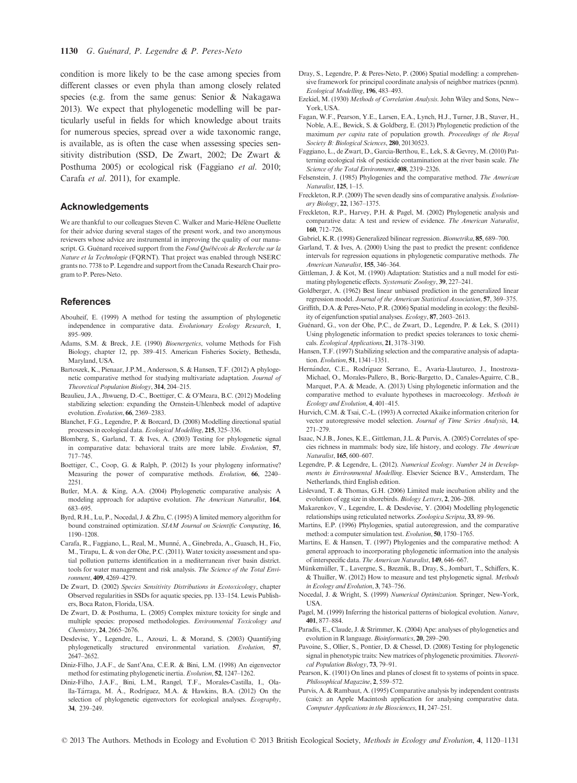condition is more likely to be the case among species from different classes or even phyla than among closely related species (e.g. from the same genus: Senior & Nakagawa 2013). We expect that phylogenetic modelling will be particularly useful in fields for which knowledge about traits for numerous species, spread over a wide taxonomic range, is available, as is often the case when assessing species sensitivity distribution (SSD, De Zwart, 2002; De Zwart & Posthuma 2005) or ecological risk (Faggiano et al. 2010; Carafa et al. 2011), for example.

#### Acknowledgements

We are thankful to our colleagues Steven C. Walker and Marie-Hélène Ouellette for their advice during several stages of the present work, and two anonymous reviewers whose advice are instrumental in improving the quality of our manuscript. G. Guénard received support from the  $Fond$  Québécois de Recherche sur la Nature et la Technologie (FQRNT). That project was enabled through NSERC grants no. 7738 to P. Legendre and support from the Canada Research Chair program to P. Peres-Neto.

#### **References**

- Abouheif, E. (1999) A method for testing the assumption of phylogenetic independence in comparative data. Evolutionary Ecology Research, 1, 895–909.
- Adams, S.M. & Breck, J.E. (1990) Bioenergetics, volume Methods for Fish Biology, chapter 12, pp. 389–415. American Fisheries Society, Bethesda, Maryland, USA.
- Bartoszek, K., Pienaar, J.P.M., Andersson, S. & Hansen, T.F. (2012) A phylogenetic comparative method for studying multivariate adaptation. Journal of Theoretical Population Biology, 314, 204–215.
- Beaulieu, J.A., Jhwueng, D.-C., Boettiger, C. & O'Meara, B.C. (2012) Modeling stabilizing selection: expanding the Ornstein-Uhlenbeck model of adaptive evolution.Evolution, 66, 2369–2383.
- Blanchet, F.G., Legendre, P. & Borcard, D. (2008) Modelling directional spatial processes in ecological data. Ecological Modelling, 215, 325–336.
- Blomberg, S., Garland, T. & Ives, A. (2003) Testing for phylogenetic signal in comparative data: behavioral traits are more labile. Evolution, 57, 717–745.
- Boettiger, C., Coop, G. & Ralph, P. (2012) Is your phylogeny informative? Measuring the power of comparative methods. Evolution, 66, 2240– 2251.
- Butler, M.A. & King, A.A. (2004) Phylogenetic comparative analysis: A modeling approach for adaptive evolution. The American Naturalist, 164, 683–695.
- Byrd, R.H., Lu, P., Nocedal, J. & Zhu, C. (1995) A limited memory algorithm for bound constrained optimization. SIAM Journal on Scientific Computing, 16, 1190–1208.
- Carafa, R., Faggiano, L., Real, M., Munne, A., Ginebreda, A., Guasch, H., Fio, M., Tirapu, L. & von der Ohe, P.C. (2011). Water toxicity assessment and spatial pollution patterns identification in a mediterranean river basin district. tools for water management and risk analysis. The Science of the Total Environment, 409, 4269–4279.
- De Zwart, D. (2002) Species Sensitivity Distributions in Ecotoxicology, chapter Observed regularities in SSDs for aquatic species, pp. 133–154. Lewis Publishers, Boca Raton, Florida, USA.
- De Zwart, D. & Posthuma, L. (2005) Complex mixture toxicity for single and multiple species: proposed methodologies. Environmental Toxicology and Chemistry, 24, 2665-2676.
- Desdevise, Y., Legendre, L., Azouzi, L. & Morand, S. (2003) Quantifying phylogenetically structured environmental variation. Evolution, 57, 2647–2652.
- Diniz-Filho, J.A.F., de Sant'Ana, C.E.R. & Bini, L.M. (1998) An eigenvector method for estimating phylogenetic inertia. Evolution, 52, 1247–1262.
- Diniz-Filho, J.A.F., Bini, L.M., Rangel, T.F., Morales-Castilla, I., Olalla-Tárraga, M. Á., Rodríguez, M.A. & Hawkins, B.A. (2012) On the selection of phylogenetic eigenvectors for ecological analyses. Ecography, 34, 239–249.
- Dray, S., Legendre, P. & Peres-Neto, P. (2006) Spatial modelling: a comprehensive framework for principal coordinate analysis of neighbor matrices (pcnm). Ecological Modelling, 196, 483–493.
- Ezekiel, M. (1930) Methods of Correlation Analysis. John Wiley and Sons, New-- York, USA.
- Fagan, W.F., Pearson, Y.E., Larsen, E.A., Lynch, H.J., Turner, J.B., Staver, H., Noble, A.E., Bewick, S. & Goldberg, E. (2013) Phylogenetic prediction of the maximum per capita rate of population growth. Proceedings of the Royal Society B: Biological Sciences, 280, 20130523.
- Faggiano, L., de Zwart, D., Garcia-Berthou, E., Lek, S. & Gevrey, M. (2010) Patterning ecological risk of pesticide contamination at the river basin scale. The Science of the Total Environment, 408, 2319–2326.
- Felsenstein, J. (1985) Phylogenies and the comparative method. The American Naturalist, 125, 1–15.
- Freckleton, R.P. (2009) The seven deadly sins of comparative analysis. Evolutionary Biology, 22, 1367–1375.
- Freckleton, R.P., Harvey, P.H. & Pagel, M. (2002) Phylogenetic analysis and comparative data: A test and review of evidence. The American Naturalist, 160, 712–726.
- Gabriel, K.R. (1998) Generalized bilinear regression. Biometrika, 85, 689-700.
- Garland, T. & Ives, A. (2000) Using the past to predict the present: confidence intervals for regression equations in phylogenetic comparative methods. The American Naturalist, 155, 346–364.
- Gittleman, J. & Kot, M. (1990) Adaptation: Statistics and a null model for estimating phylogenetic effects. Systematic Zoology, 39, 227–241.
- Goldberger, A. (1962) Best linear unbiased prediction in the generalized linear regression model. Journal of the American Statistical Association, 57, 369–375.
- Griffith, D.A. & Peres-Neto, P.R. (2006) Spatial modeling in ecology: the flexibility of eigenfunction spatial analyses. Ecology, 87, 2603–2613.
- Guénard, G., von der Ohe, P.C., de Zwart, D., Legendre, P. & Lek, S. (2011) Using phylogenetic information to predict species tolerances to toxic chemicals. Ecological Applications, 21, 3178–3190.
- Hansen, T.F. (1997) Stabilizing selection and the comparative analysis of adaptation. Evolution, 51, 1341–1351.
- Hernández, C.E., Rodríguez Serrano, E., Avaria-Llautureo, J., Inostroza-Michael, O., Morales-Pallero, B., Boric-Bargetto, D., Canales-Aguirre, C.B., Marquet, P.A. & Meade, A. (2013) Using phylogenetic information and the comparative method to evaluate hypotheses in macroecology. Methods in Ecology and Evolution, 4, 401–415.
- Hurvich, C.M. & Tsai, C.-L. (1993) A corrected Akaike information criterion for vector autoregressive model selection. Journal of Time Series Analysis, 14, 271–279.
- Isaac, N.J.B., Jones, K.E., Gittleman, J.L. & Purvis, A. (2005) Correlates of species richness in mammals: body size, life history, and ecology. The American Naturalist, 165, 600–607.
- Legendre, P. & Legendre, L. (2012). Numerical Ecology. Number 24 in Developments in Environmental Modelling. Elsevier Science B.V., Amsterdam, The Netherlands, third English edition.
- Lislevand, T. & Thomas, G.H. (2006) Limited male incubation ability and the evolution of egg size in shorebirds. Biology Letters, 2, 206–208.
- Makarenkov, V., Legendre, L. & Desdevise, Y. (2004) Modelling phylogenetic relationships using reticulated networks. Zoologica Scripta, 33, 89–96.
- Martins, E.P. (1996) Phylogenies, spatial autoregression, and the comparative method: a computer simulation test. Evolution, 50, 1750–1765.
- Martins, E. & Hansen, T. (1997) Phylogenies and the comparative method: A general approach to incorporating phylogenetic information into the analysis of interspecific data. The American Naturalist, 149, 646–667.
- Münkemüller, T., Lavergne, S., Bzeznik, B., Dray, S., Jombart, T., Schiffers, K. & Thuiller, W. (2012) How to measure and test phylogenetic signal. Methods in Ecology and Evolution, 3, 743–756.
- Nocedal, J. & Wright, S. (1999) Numerical Optimization. Springer, New-York, USA.
- Pagel, M. (1999) Inferring the historical patterns of biological evolution. Nature, 401, 877–884.
- Paradis, E., Claude, J. & Strimmer, K. (2004) Ape: analyses of phylogenetics and evolution in R language. Bioinformatics, 20, 289–290.
- Pavoine, S., Ollier, S., Pontier, D. & Chessel, D. (2008) Testing for phylogenetic signal in phenotypic traits: New matrices of phylogenetic proximities. Theoretical Population Biology, 73, 79–91.
- Pearson, K. (1901) On lines and planes of closest fit to systems of points in space. Philosophical Magazine, 2, 559–572.
- Purvis, A. & Rambaut, A. (1995) Comparative analysis by independent contrasts (caic): an Apple Macintosh application for analysing comparative data. Computer Applications in the Biosciences, 11, 247–251.